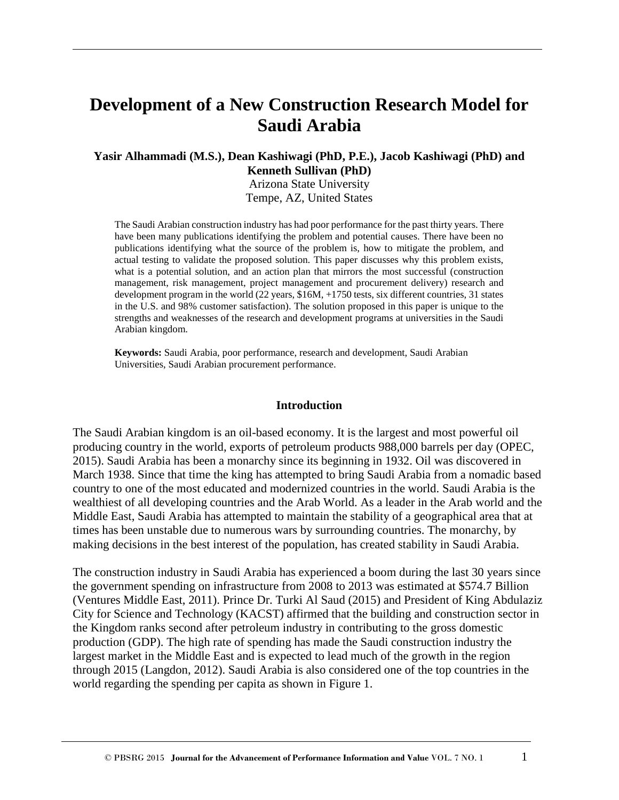# **Development of a New Construction Research Model for Saudi Arabia**

#### **Yasir Alhammadi (M.S.), Dean Kashiwagi (PhD, P.E.), Jacob Kashiwagi (PhD) and Kenneth Sullivan (PhD)**

Arizona State University Tempe, AZ, United States

The Saudi Arabian construction industry has had poor performance for the past thirty years. There have been many publications identifying the problem and potential causes. There have been no publications identifying what the source of the problem is, how to mitigate the problem, and actual testing to validate the proposed solution. This paper discusses why this problem exists, what is a potential solution, and an action plan that mirrors the most successful (construction management, risk management, project management and procurement delivery) research and development program in the world (22 years, \$16M, +1750 tests, six different countries, 31 states in the U.S. and 98% customer satisfaction). The solution proposed in this paper is unique to the strengths and weaknesses of the research and development programs at universities in the Saudi Arabian kingdom.

**Keywords:** Saudi Arabia, poor performance, research and development, Saudi Arabian Universities, Saudi Arabian procurement performance.

#### **Introduction**

The Saudi Arabian kingdom is an oil-based economy. It is the largest and most powerful oil producing country in the world, exports of petroleum products 988,000 barrels per day (OPEC, 2015). Saudi Arabia has been a monarchy since its beginning in 1932. Oil was discovered in March 1938. Since that time the king has attempted to bring Saudi Arabia from a nomadic based country to one of the most educated and modernized countries in the world. Saudi Arabia is the wealthiest of all developing countries and the Arab World. As a leader in the Arab world and the Middle East, Saudi Arabia has attempted to maintain the stability of a geographical area that at times has been unstable due to numerous wars by surrounding countries. The monarchy, by making decisions in the best interest of the population, has created stability in Saudi Arabia.

The construction industry in Saudi Arabia has experienced a boom during the last 30 years since the government spending on infrastructure from 2008 to 2013 was estimated at \$574.7 Billion (Ventures Middle East, 2011). Prince Dr. Turki Al Saud (2015) and President of King Abdulaziz City for Science and Technology (KACST) affirmed that the building and construction sector in the Kingdom ranks second after petroleum industry in contributing to the gross domestic production (GDP). The high rate of spending has made the Saudi construction industry the largest market in the Middle East and is expected to lead much of the growth in the region through 2015 (Langdon, 2012). Saudi Arabia is also considered one of the top countries in the world regarding the spending per capita as shown in Figure 1.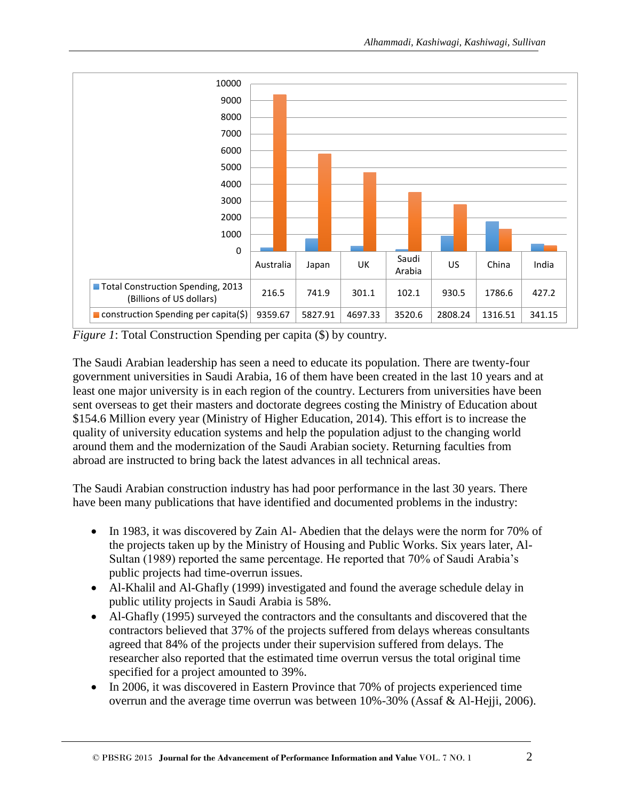

*Figure 1*: Total Construction Spending per capita (\$) by country.

The Saudi Arabian leadership has seen a need to educate its population. There are twenty-four government universities in Saudi Arabia, 16 of them have been created in the last 10 years and at least one major university is in each region of the country. Lecturers from universities have been sent overseas to get their masters and doctorate degrees costing the Ministry of Education about \$154.6 Million every year (Ministry of Higher Education, 2014). This effort is to increase the quality of university education systems and help the population adjust to the changing world around them and the modernization of the Saudi Arabian society. Returning faculties from abroad are instructed to bring back the latest advances in all technical areas.

The Saudi Arabian construction industry has had poor performance in the last 30 years. There have been many publications that have identified and documented problems in the industry:

- In 1983, it was discovered by Zain Al- Abedien that the delays were the norm for 70% of the projects taken up by the Ministry of Housing and Public Works. Six years later, Al-Sultan (1989) reported the same percentage. He reported that 70% of Saudi Arabia's public projects had time-overrun issues.
- Al-Khalil and Al-Ghafly (1999) investigated and found the average schedule delay in public utility projects in Saudi Arabia is 58%.
- Al-Ghafly (1995) surveyed the contractors and the consultants and discovered that the contractors believed that 37% of the projects suffered from delays whereas consultants agreed that 84% of the projects under their supervision suffered from delays. The researcher also reported that the estimated time overrun versus the total original time specified for a project amounted to 39%.
- In 2006, it was discovered in Eastern Province that 70% of projects experienced time overrun and the average time overrun was between 10%-30% (Assaf & Al-Hejji, 2006).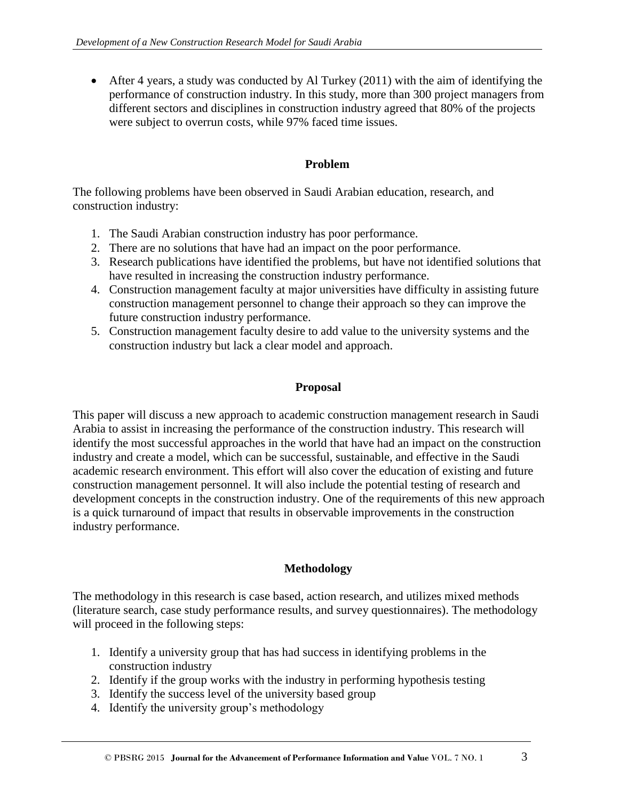After 4 years, a study was conducted by Al Turkey (2011) with the aim of identifying the performance of construction industry. In this study, more than 300 project managers from different sectors and disciplines in construction industry agreed that 80% of the projects were subject to overrun costs, while 97% faced time issues.

# **Problem**

The following problems have been observed in Saudi Arabian education, research, and construction industry:

- 1. The Saudi Arabian construction industry has poor performance.
- 2. There are no solutions that have had an impact on the poor performance.
- 3. Research publications have identified the problems, but have not identified solutions that have resulted in increasing the construction industry performance.
- 4. Construction management faculty at major universities have difficulty in assisting future construction management personnel to change their approach so they can improve the future construction industry performance.
- 5. Construction management faculty desire to add value to the university systems and the construction industry but lack a clear model and approach.

#### **Proposal**

This paper will discuss a new approach to academic construction management research in Saudi Arabia to assist in increasing the performance of the construction industry. This research will identify the most successful approaches in the world that have had an impact on the construction industry and create a model, which can be successful, sustainable, and effective in the Saudi academic research environment. This effort will also cover the education of existing and future construction management personnel. It will also include the potential testing of research and development concepts in the construction industry. One of the requirements of this new approach is a quick turnaround of impact that results in observable improvements in the construction industry performance.

### **Methodology**

The methodology in this research is case based, action research, and utilizes mixed methods (literature search, case study performance results, and survey questionnaires). The methodology will proceed in the following steps:

- 1. Identify a university group that has had success in identifying problems in the construction industry
- 2. Identify if the group works with the industry in performing hypothesis testing
- 3. Identify the success level of the university based group
- 4. Identify the university group's methodology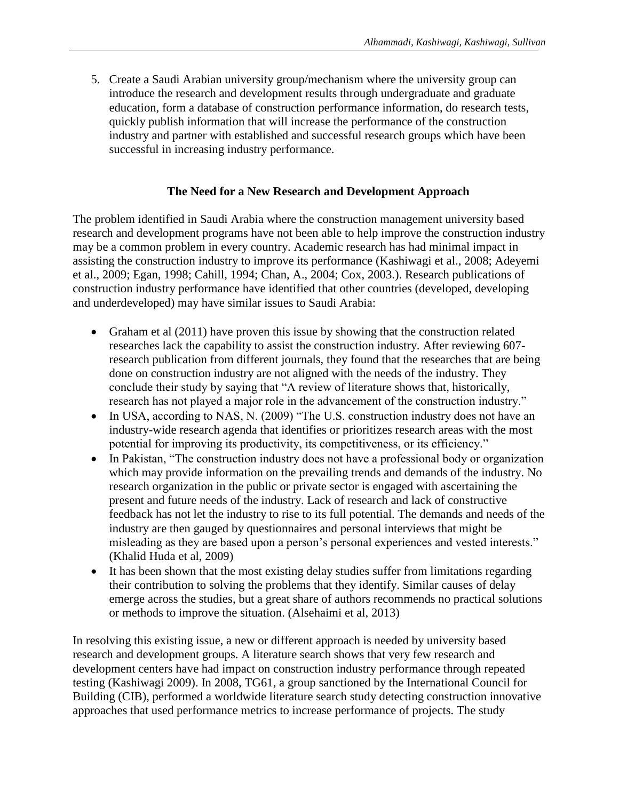5. Create a Saudi Arabian university group/mechanism where the university group can introduce the research and development results through undergraduate and graduate education, form a database of construction performance information, do research tests, quickly publish information that will increase the performance of the construction industry and partner with established and successful research groups which have been successful in increasing industry performance.

#### **The Need for a New Research and Development Approach**

The problem identified in Saudi Arabia where the construction management university based research and development programs have not been able to help improve the construction industry may be a common problem in every country. Academic research has had minimal impact in assisting the construction industry to improve its performance (Kashiwagi et al., 2008; Adeyemi et al., 2009; Egan, 1998; Cahill, 1994; Chan, A., 2004; Cox, 2003.). Research publications of construction industry performance have identified that other countries (developed, developing and underdeveloped) may have similar issues to Saudi Arabia:

- Graham et al (2011) have proven this issue by showing that the construction related researches lack the capability to assist the construction industry. After reviewing 607 research publication from different journals, they found that the researches that are being done on construction industry are not aligned with the needs of the industry. They conclude their study by saying that "A review of literature shows that, historically, research has not played a major role in the advancement of the construction industry."
- In USA, according to NAS, N. (2009) "The U.S. construction industry does not have an industry-wide research agenda that identifies or prioritizes research areas with the most potential for improving its productivity, its competitiveness, or its efficiency."
- In Pakistan, "The construction industry does not have a professional body or organization which may provide information on the prevailing trends and demands of the industry. No research organization in the public or private sector is engaged with ascertaining the present and future needs of the industry. Lack of research and lack of constructive feedback has not let the industry to rise to its full potential. The demands and needs of the industry are then gauged by questionnaires and personal interviews that might be misleading as they are based upon a person's personal experiences and vested interests." (Khalid Huda et al, 2009)
- It has been shown that the most existing delay studies suffer from limitations regarding their contribution to solving the problems that they identify. Similar causes of delay emerge across the studies, but a great share of authors recommends no practical solutions or methods to improve the situation. (Alsehaimi et al, 2013)

In resolving this existing issue, a new or different approach is needed by university based research and development groups. A literature search shows that very few research and development centers have had impact on construction industry performance through repeated testing (Kashiwagi 2009). In 2008, TG61, a group sanctioned by the International Council for Building (CIB), performed a worldwide literature search study detecting construction innovative approaches that used performance metrics to increase performance of projects. The study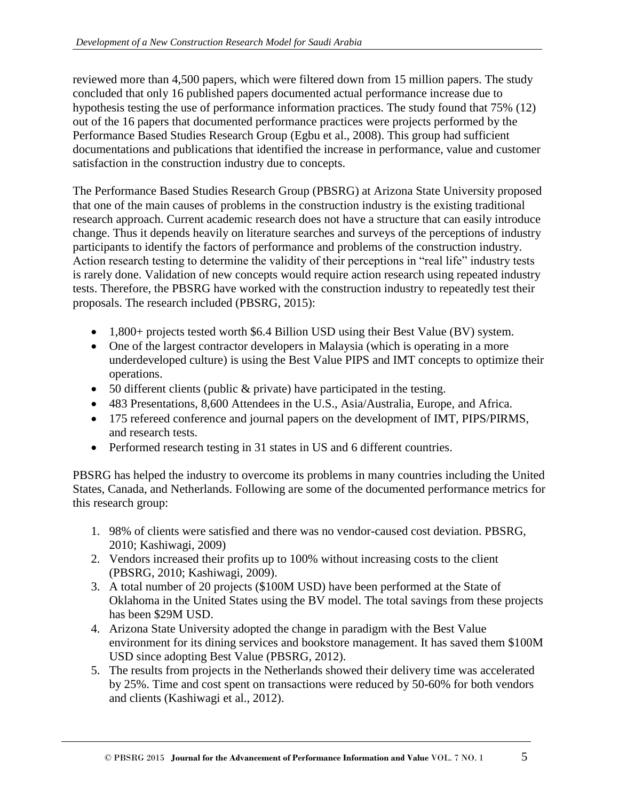reviewed more than 4,500 papers, which were filtered down from 15 million papers. The study concluded that only 16 published papers documented actual performance increase due to hypothesis testing the use of performance information practices. The study found that 75% (12) out of the 16 papers that documented performance practices were projects performed by the Performance Based Studies Research Group (Egbu et al., 2008). This group had sufficient documentations and publications that identified the increase in performance, value and customer satisfaction in the construction industry due to concepts.

The Performance Based Studies Research Group (PBSRG) at Arizona State University proposed that one of the main causes of problems in the construction industry is the existing traditional research approach. Current academic research does not have a structure that can easily introduce change. Thus it depends heavily on literature searches and surveys of the perceptions of industry participants to identify the factors of performance and problems of the construction industry. Action research testing to determine the validity of their perceptions in "real life" industry tests is rarely done. Validation of new concepts would require action research using repeated industry tests. Therefore, the PBSRG have worked with the construction industry to repeatedly test their proposals. The research included (PBSRG, 2015):

- 1,800+ projects tested worth \$6.4 Billion USD using their Best Value (BV) system.
- One of the largest contractor developers in Malaysia (which is operating in a more underdeveloped culture) is using the Best Value PIPS and IMT concepts to optimize their operations.
- 50 different clients (public & private) have participated in the testing.
- 483 Presentations, 8,600 Attendees in the U.S., Asia/Australia, Europe, and Africa.
- 175 refereed conference and journal papers on the development of IMT, PIPS/PIRMS, and research tests.
- Performed research testing in 31 states in US and 6 different countries.

PBSRG has helped the industry to overcome its problems in many countries including the United States, Canada, and Netherlands. Following are some of the documented performance metrics for this research group:

- 1. 98% of clients were satisfied and there was no vendor-caused cost deviation. PBSRG, 2010; Kashiwagi, 2009)
- 2. Vendors increased their profits up to 100% without increasing costs to the client (PBSRG, 2010; Kashiwagi, 2009).
- 3. A total number of 20 projects (\$100M USD) have been performed at the State of Oklahoma in the United States using the BV model. The total savings from these projects has been \$29M USD.
- 4. Arizona State University adopted the change in paradigm with the Best Value environment for its dining services and bookstore management. It has saved them \$100M USD since adopting Best Value (PBSRG, 2012).
- 5. The results from projects in the Netherlands showed their delivery time was accelerated by 25%. Time and cost spent on transactions were reduced by 50-60% for both vendors and clients (Kashiwagi et al., 2012).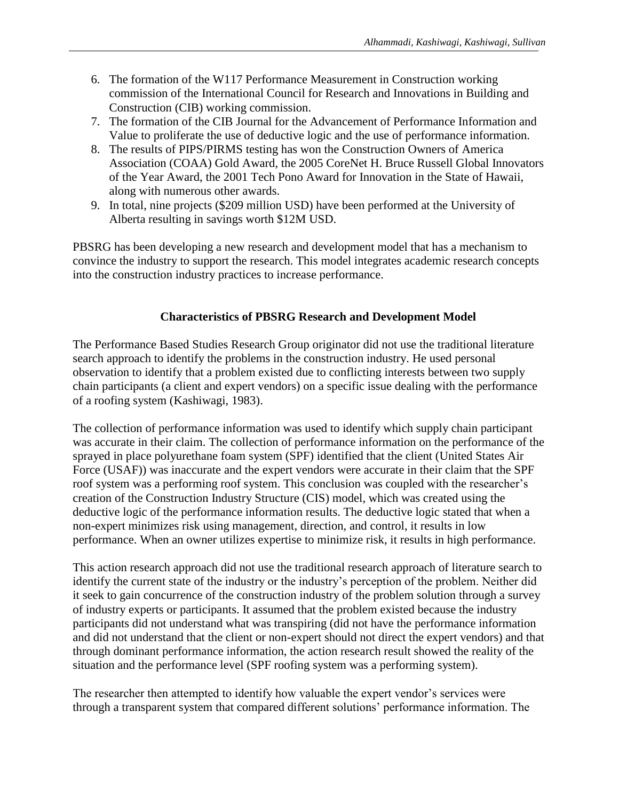- 6. The formation of the W117 Performance Measurement in Construction working commission of the International Council for Research and Innovations in Building and Construction (CIB) working commission.
- 7. The formation of the CIB Journal for the Advancement of Performance Information and Value to proliferate the use of deductive logic and the use of performance information.
- 8. The results of PIPS/PIRMS testing has won the Construction Owners of America Association (COAA) Gold Award, the 2005 CoreNet H. Bruce Russell Global Innovators of the Year Award, the 2001 Tech Pono Award for Innovation in the State of Hawaii, along with numerous other awards.
- 9. In total, nine projects (\$209 million USD) have been performed at the University of Alberta resulting in savings worth \$12M USD.

PBSRG has been developing a new research and development model that has a mechanism to convince the industry to support the research. This model integrates academic research concepts into the construction industry practices to increase performance.

# **Characteristics of PBSRG Research and Development Model**

The Performance Based Studies Research Group originator did not use the traditional literature search approach to identify the problems in the construction industry. He used personal observation to identify that a problem existed due to conflicting interests between two supply chain participants (a client and expert vendors) on a specific issue dealing with the performance of a roofing system (Kashiwagi, 1983).

The collection of performance information was used to identify which supply chain participant was accurate in their claim. The collection of performance information on the performance of the sprayed in place polyurethane foam system (SPF) identified that the client (United States Air Force (USAF)) was inaccurate and the expert vendors were accurate in their claim that the SPF roof system was a performing roof system. This conclusion was coupled with the researcher's creation of the Construction Industry Structure (CIS) model, which was created using the deductive logic of the performance information results. The deductive logic stated that when a non-expert minimizes risk using management, direction, and control, it results in low performance. When an owner utilizes expertise to minimize risk, it results in high performance.

This action research approach did not use the traditional research approach of literature search to identify the current state of the industry or the industry's perception of the problem. Neither did it seek to gain concurrence of the construction industry of the problem solution through a survey of industry experts or participants. It assumed that the problem existed because the industry participants did not understand what was transpiring (did not have the performance information and did not understand that the client or non-expert should not direct the expert vendors) and that through dominant performance information, the action research result showed the reality of the situation and the performance level (SPF roofing system was a performing system).

The researcher then attempted to identify how valuable the expert vendor's services were through a transparent system that compared different solutions' performance information. The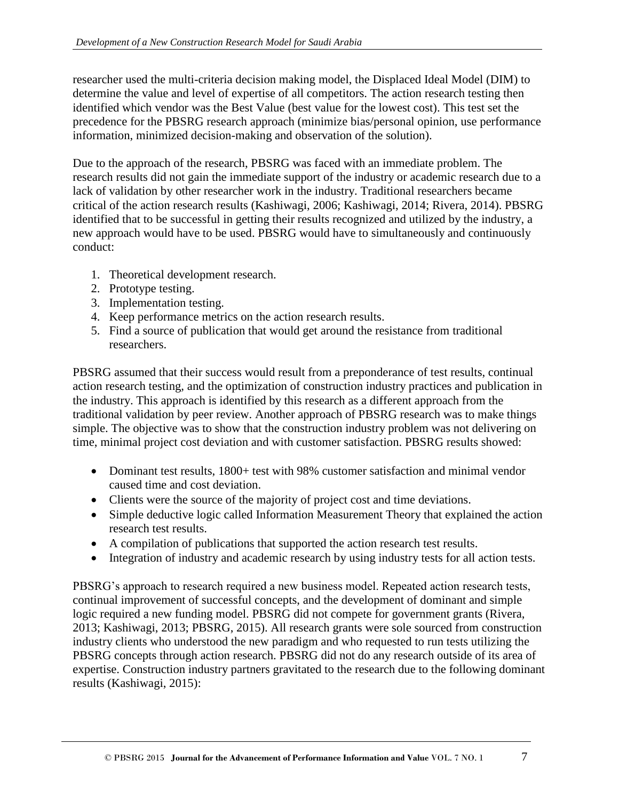researcher used the multi-criteria decision making model, the Displaced Ideal Model (DIM) to determine the value and level of expertise of all competitors. The action research testing then identified which vendor was the Best Value (best value for the lowest cost). This test set the precedence for the PBSRG research approach (minimize bias/personal opinion, use performance information, minimized decision-making and observation of the solution).

Due to the approach of the research, PBSRG was faced with an immediate problem. The research results did not gain the immediate support of the industry or academic research due to a lack of validation by other researcher work in the industry. Traditional researchers became critical of the action research results (Kashiwagi, 2006; Kashiwagi, 2014; Rivera, 2014). PBSRG identified that to be successful in getting their results recognized and utilized by the industry, a new approach would have to be used. PBSRG would have to simultaneously and continuously conduct:

- 1. Theoretical development research.
- 2. Prototype testing.
- 3. Implementation testing.
- 4. Keep performance metrics on the action research results.
- 5. Find a source of publication that would get around the resistance from traditional researchers.

PBSRG assumed that their success would result from a preponderance of test results, continual action research testing, and the optimization of construction industry practices and publication in the industry. This approach is identified by this research as a different approach from the traditional validation by peer review. Another approach of PBSRG research was to make things simple. The objective was to show that the construction industry problem was not delivering on time, minimal project cost deviation and with customer satisfaction. PBSRG results showed:

- Dominant test results, 1800+ test with 98% customer satisfaction and minimal vendor caused time and cost deviation.
- Clients were the source of the majority of project cost and time deviations.
- Simple deductive logic called Information Measurement Theory that explained the action research test results.
- A compilation of publications that supported the action research test results.
- Integration of industry and academic research by using industry tests for all action tests.

PBSRG's approach to research required a new business model. Repeated action research tests, continual improvement of successful concepts, and the development of dominant and simple logic required a new funding model. PBSRG did not compete for government grants (Rivera, 2013; Kashiwagi, 2013; PBSRG, 2015). All research grants were sole sourced from construction industry clients who understood the new paradigm and who requested to run tests utilizing the PBSRG concepts through action research. PBSRG did not do any research outside of its area of expertise. Construction industry partners gravitated to the research due to the following dominant results (Kashiwagi, 2015):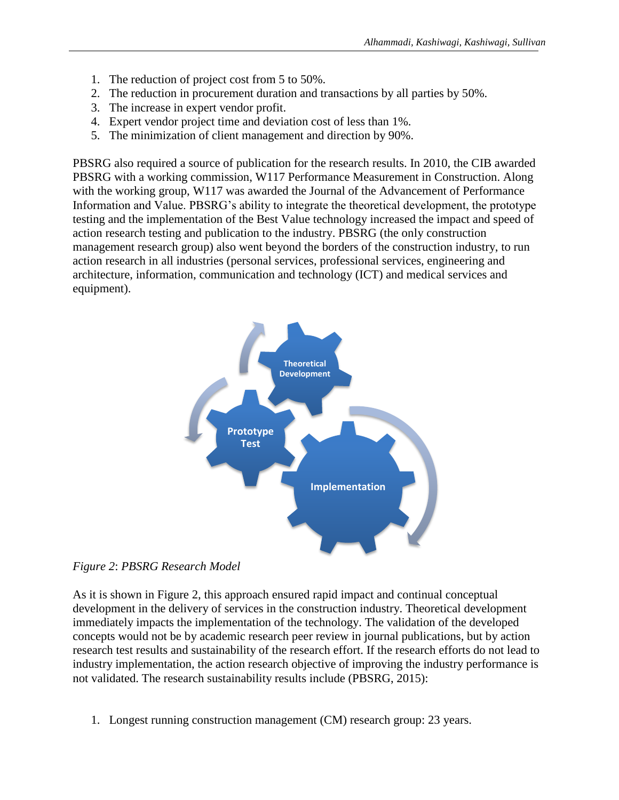- 1. The reduction of project cost from 5 to 50%.
- 2. The reduction in procurement duration and transactions by all parties by 50%.
- 3. The increase in expert vendor profit.
- 4. Expert vendor project time and deviation cost of less than 1%.
- 5. The minimization of client management and direction by 90%.

PBSRG also required a source of publication for the research results. In 2010, the CIB awarded PBSRG with a working commission, W117 Performance Measurement in Construction. Along with the working group, W117 was awarded the Journal of the Advancement of Performance Information and Value. PBSRG's ability to integrate the theoretical development, the prototype testing and the implementation of the Best Value technology increased the impact and speed of action research testing and publication to the industry. PBSRG (the only construction management research group) also went beyond the borders of the construction industry, to run action research in all industries (personal services, professional services, engineering and architecture, information, communication and technology (ICT) and medical services and equipment).



*Figure 2*: *PBSRG Research Model*

As it is shown in Figure 2, this approach ensured rapid impact and continual conceptual development in the delivery of services in the construction industry. Theoretical development immediately impacts the implementation of the technology. The validation of the developed concepts would not be by academic research peer review in journal publications, but by action research test results and sustainability of the research effort. If the research efforts do not lead to industry implementation, the action research objective of improving the industry performance is not validated. The research sustainability results include (PBSRG, 2015):

1. Longest running construction management (CM) research group: 23 years.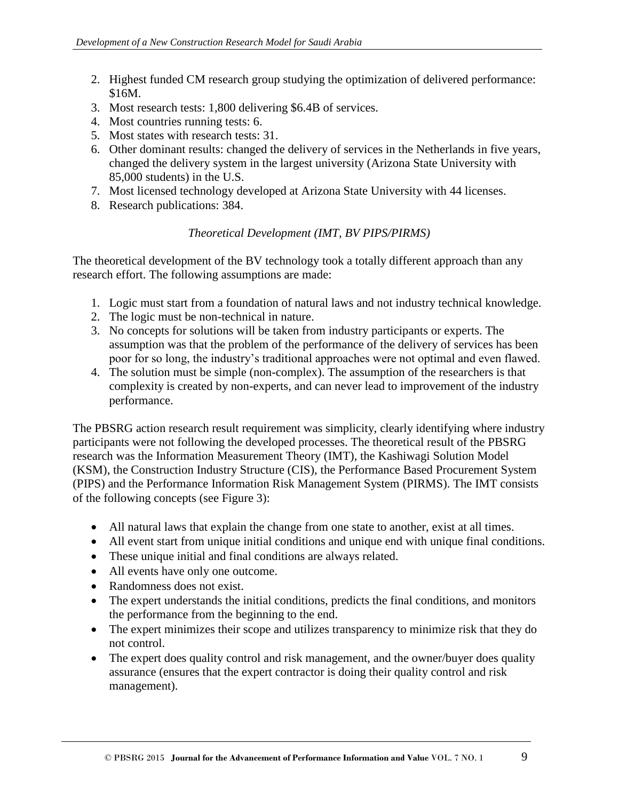- 2. Highest funded CM research group studying the optimization of delivered performance: \$16M.
- 3. Most research tests: 1,800 delivering \$6.4B of services.
- 4. Most countries running tests: 6.
- 5. Most states with research tests: 31.
- 6. Other dominant results: changed the delivery of services in the Netherlands in five years, changed the delivery system in the largest university (Arizona State University with 85,000 students) in the U.S.
- 7. Most licensed technology developed at Arizona State University with 44 licenses.
- 8. Research publications: 384.

# *Theoretical Development (IMT, BV PIPS/PIRMS)*

The theoretical development of the BV technology took a totally different approach than any research effort. The following assumptions are made:

- 1. Logic must start from a foundation of natural laws and not industry technical knowledge.
- 2. The logic must be non-technical in nature.
- 3. No concepts for solutions will be taken from industry participants or experts. The assumption was that the problem of the performance of the delivery of services has been poor for so long, the industry's traditional approaches were not optimal and even flawed.
- 4. The solution must be simple (non-complex). The assumption of the researchers is that complexity is created by non-experts, and can never lead to improvement of the industry performance.

The PBSRG action research result requirement was simplicity, clearly identifying where industry participants were not following the developed processes. The theoretical result of the PBSRG research was the Information Measurement Theory (IMT), the Kashiwagi Solution Model (KSM), the Construction Industry Structure (CIS), the Performance Based Procurement System (PIPS) and the Performance Information Risk Management System (PIRMS). The IMT consists of the following concepts (see Figure 3):

- All natural laws that explain the change from one state to another, exist at all times.
- All event start from unique initial conditions and unique end with unique final conditions.
- These unique initial and final conditions are always related.
- All events have only one outcome.
- Randomness does not exist.
- The expert understands the initial conditions, predicts the final conditions, and monitors the performance from the beginning to the end.
- The expert minimizes their scope and utilizes transparency to minimize risk that they do not control.
- The expert does quality control and risk management, and the owner/buyer does quality assurance (ensures that the expert contractor is doing their quality control and risk management).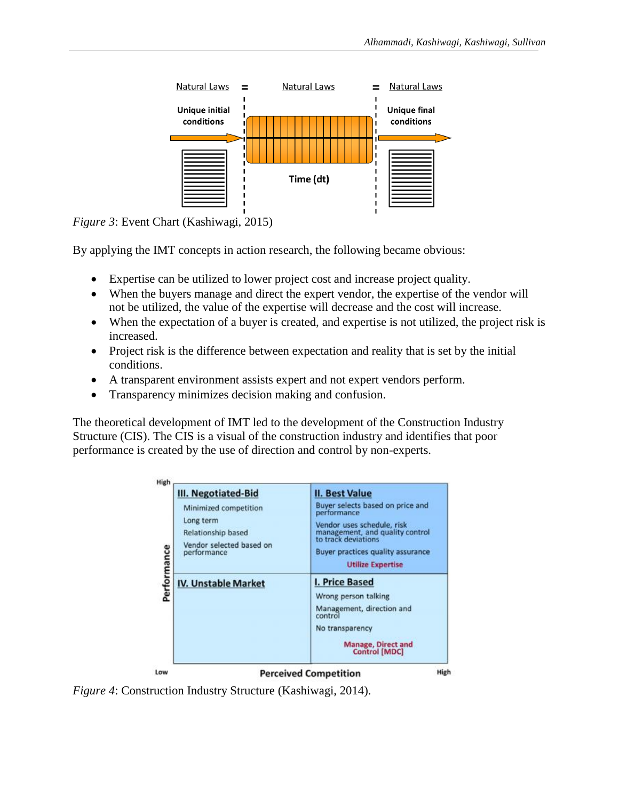

*Figure 3*: Event Chart (Kashiwagi, 2015)

By applying the IMT concepts in action research, the following became obvious:

- Expertise can be utilized to lower project cost and increase project quality.
- When the buyers manage and direct the expert vendor, the expertise of the vendor will not be utilized, the value of the expertise will decrease and the cost will increase.
- When the expectation of a buyer is created, and expertise is not utilized, the project risk is increased.
- Project risk is the difference between expectation and reality that is set by the initial conditions.
- A transparent environment assists expert and not expert vendors perform.
- Transparency minimizes decision making and confusion.

The theoretical development of IMT led to the development of the Construction Industry Structure (CIS). The CIS is a visual of the construction industry and identifies that poor performance is created by the use of direction and control by non-experts.

| Minimized competition<br>Long term<br>Relationship based<br>Vendor selected based on | Buyer selects based on price and<br>performance<br>Vendor uses schedule, risk<br>management, and quality control<br>to track deviations                |
|--------------------------------------------------------------------------------------|--------------------------------------------------------------------------------------------------------------------------------------------------------|
| performance                                                                          | Buyer practices quality assurance<br><b>Utilize Expertise</b>                                                                                          |
| <b>IV. Unstable Market</b>                                                           | I. Price Based<br>Wrong person talking<br>Management, direction and<br>control<br>No transparency<br><b>Manage, Direct and</b><br><b>Control [MDC]</b> |

*Figure 4*: Construction Industry Structure (Kashiwagi, 2014).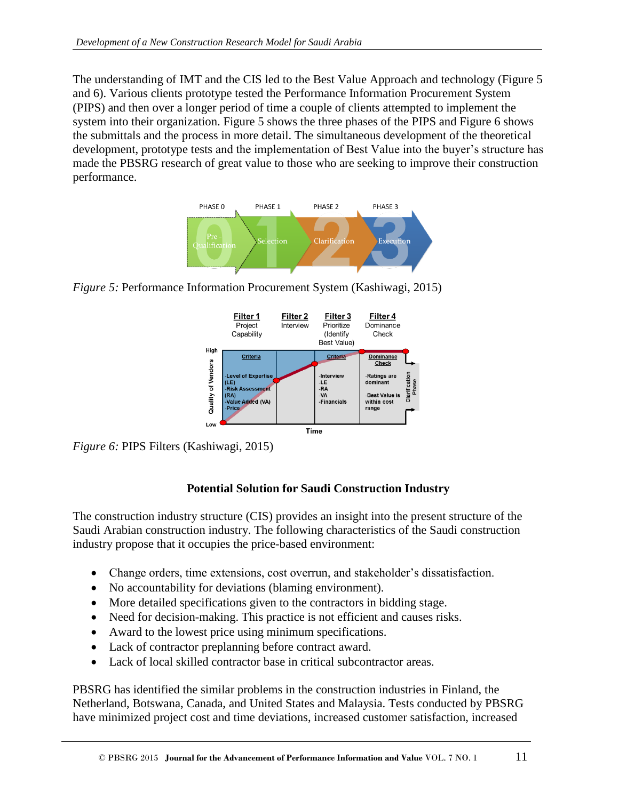The understanding of IMT and the CIS led to the Best Value Approach and technology (Figure 5 and 6). Various clients prototype tested the Performance Information Procurement System (PIPS) and then over a longer period of time a couple of clients attempted to implement the system into their organization. Figure 5 shows the three phases of the PIPS and Figure 6 shows the submittals and the process in more detail. The simultaneous development of the theoretical development, prototype tests and the implementation of Best Value into the buyer's structure has made the PBSRG research of great value to those who are seeking to improve their construction performance.



*Figure 5:* Performance Information Procurement System (Kashiwagi, 2015)



*Figure 6:* PIPS Filters (Kashiwagi, 2015)

# **Potential Solution for Saudi Construction Industry**

The construction industry structure (CIS) provides an insight into the present structure of the Saudi Arabian construction industry. The following characteristics of the Saudi construction industry propose that it occupies the price-based environment:

- Change orders, time extensions, cost overrun, and stakeholder's dissatisfaction.
- No accountability for deviations (blaming environment).
- More detailed specifications given to the contractors in bidding stage.
- Need for decision-making. This practice is not efficient and causes risks.
- Award to the lowest price using minimum specifications.
- Lack of contractor preplanning before contract award.
- Lack of local skilled contractor base in critical subcontractor areas.

PBSRG has identified the similar problems in the construction industries in Finland, the Netherland, Botswana, Canada, and United States and Malaysia. Tests conducted by PBSRG have minimized project cost and time deviations, increased customer satisfaction, increased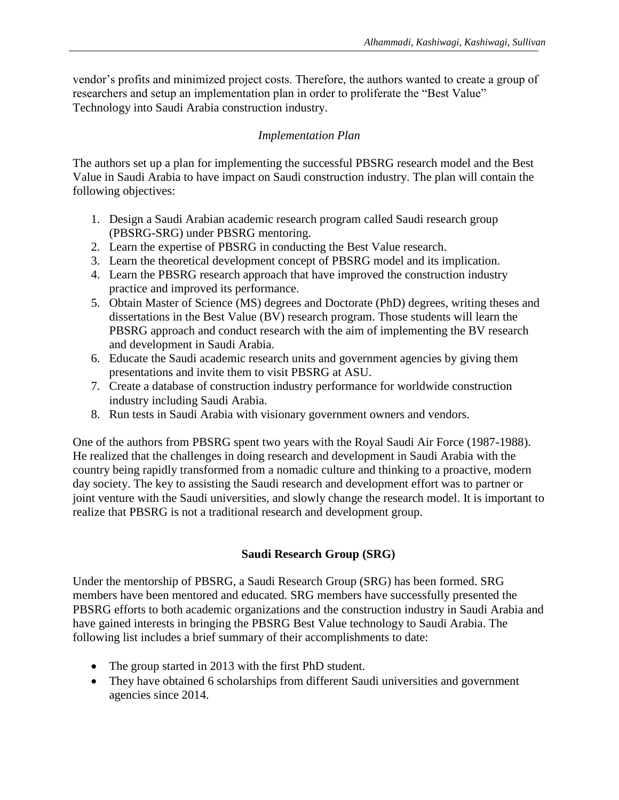vendor's profits and minimized project costs. Therefore, the authors wanted to create a group of researchers and setup an implementation plan in order to proliferate the "Best Value" Technology into Saudi Arabia construction industry.

# *Implementation Plan*

The authors set up a plan for implementing the successful PBSRG research model and the Best Value in Saudi Arabia to have impact on Saudi construction industry. The plan will contain the following objectives:

- 1. Design a Saudi Arabian academic research program called Saudi research group (PBSRG-SRG) under PBSRG mentoring.
- 2. Learn the expertise of PBSRG in conducting the Best Value research.
- 3. Learn the theoretical development concept of PBSRG model and its implication.
- 4. Learn the PBSRG research approach that have improved the construction industry practice and improved its performance.
- 5. Obtain Master of Science (MS) degrees and Doctorate (PhD) degrees, writing theses and dissertations in the Best Value (BV) research program. Those students will learn the PBSRG approach and conduct research with the aim of implementing the BV research and development in Saudi Arabia.
- 6. Educate the Saudi academic research units and government agencies by giving them presentations and invite them to visit PBSRG at ASU.
- 7. Create a database of construction industry performance for worldwide construction industry including Saudi Arabia.
- 8. Run tests in Saudi Arabia with visionary government owners and vendors.

One of the authors from PBSRG spent two years with the Royal Saudi Air Force (1987-1988). He realized that the challenges in doing research and development in Saudi Arabia with the country being rapidly transformed from a nomadic culture and thinking to a proactive, modern day society. The key to assisting the Saudi research and development effort was to partner or joint venture with the Saudi universities, and slowly change the research model. It is important to realize that PBSRG is not a traditional research and development group.

# **Saudi Research Group (SRG)**

Under the mentorship of PBSRG, a Saudi Research Group (SRG) has been formed. SRG members have been mentored and educated. SRG members have successfully presented the PBSRG efforts to both academic organizations and the construction industry in Saudi Arabia and have gained interests in bringing the PBSRG Best Value technology to Saudi Arabia. The following list includes a brief summary of their accomplishments to date:

- The group started in 2013 with the first PhD student.
- They have obtained 6 scholarships from different Saudi universities and government agencies since 2014.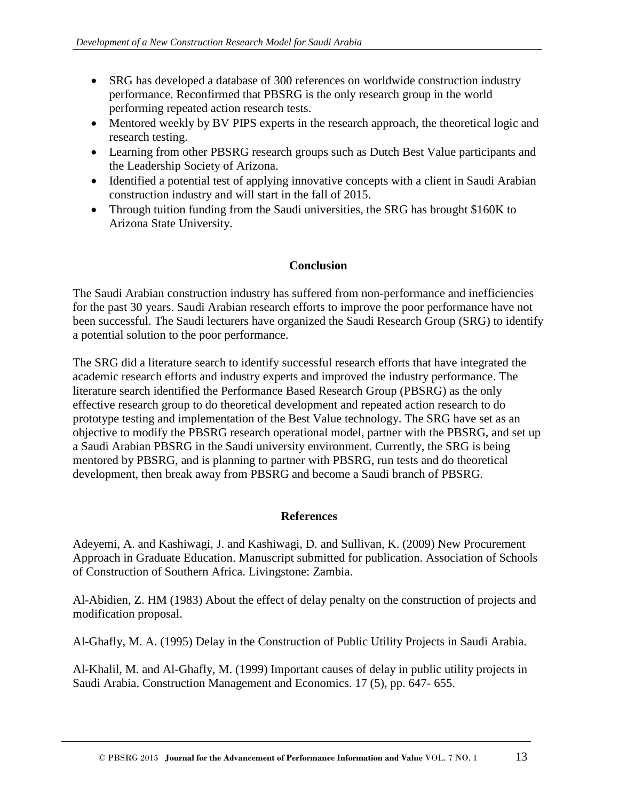- SRG has developed a database of 300 references on worldwide construction industry performance. Reconfirmed that PBSRG is the only research group in the world performing repeated action research tests.
- Mentored weekly by BV PIPS experts in the research approach, the theoretical logic and research testing.
- Learning from other PBSRG research groups such as Dutch Best Value participants and the Leadership Society of Arizona.
- Identified a potential test of applying innovative concepts with a client in Saudi Arabian construction industry and will start in the fall of 2015.
- Through tuition funding from the Saudi universities, the SRG has brought \$160K to Arizona State University.

# **Conclusion**

The Saudi Arabian construction industry has suffered from non-performance and inefficiencies for the past 30 years. Saudi Arabian research efforts to improve the poor performance have not been successful. The Saudi lecturers have organized the Saudi Research Group (SRG) to identify a potential solution to the poor performance.

The SRG did a literature search to identify successful research efforts that have integrated the academic research efforts and industry experts and improved the industry performance. The literature search identified the Performance Based Research Group (PBSRG) as the only effective research group to do theoretical development and repeated action research to do prototype testing and implementation of the Best Value technology. The SRG have set as an objective to modify the PBSRG research operational model, partner with the PBSRG, and set up a Saudi Arabian PBSRG in the Saudi university environment. Currently, the SRG is being mentored by PBSRG, and is planning to partner with PBSRG, run tests and do theoretical development, then break away from PBSRG and become a Saudi branch of PBSRG.

### **References**

Adeyemi, A. and Kashiwagi, J. and Kashiwagi, D. and Sullivan, K. (2009) New Procurement Approach in Graduate Education. Manuscript submitted for publication. Association of Schools of Construction of Southern Africa. Livingstone: Zambia.

Al-Abidien, Z. HM (1983) About the effect of delay penalty on the construction of projects and modification proposal.

Al-Ghafly, M. A. (1995) Delay in the Construction of Public Utility Projects in Saudi Arabia.

Al-Khalil, M. and Al-Ghafly, M. (1999) Important causes of delay in public utility projects in Saudi Arabia. Construction Management and Economics. 17 (5), pp. 647- 655.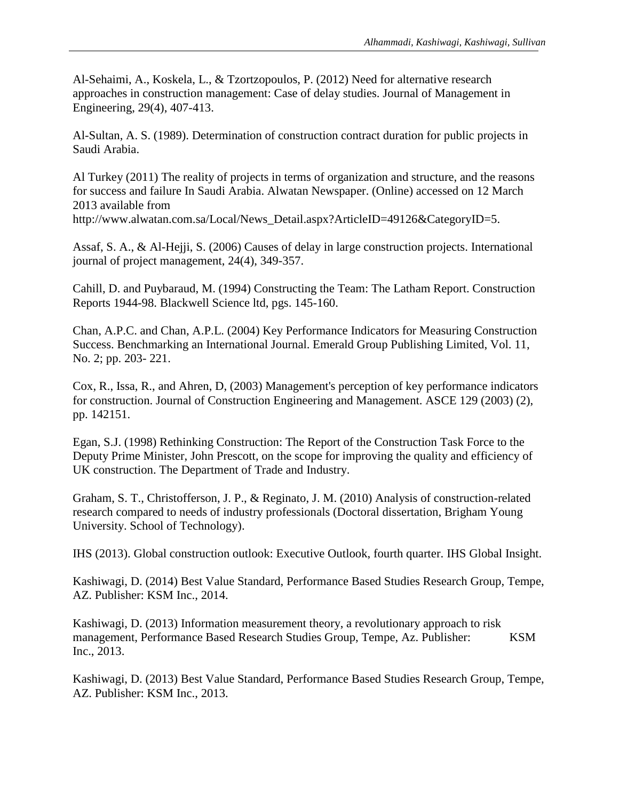Al-Sehaimi, A., Koskela, L., & Tzortzopoulos, P. (2012) Need for alternative research approaches in construction management: Case of delay studies. Journal of Management in Engineering, 29(4), 407-413.

Al-Sultan, A. S. (1989). Determination of construction contract duration for public projects in Saudi Arabia.

Al Turkey (2011) The reality of projects in terms of organization and structure, and the reasons for success and failure In Saudi Arabia. Alwatan Newspaper. (Online) accessed on 12 March 2013 available from http://www.alwatan.com.sa/Local/News\_Detail.aspx?ArticleID=49126&CategoryID=5.

Assaf, S. A., & Al-Hejji, S. (2006) Causes of delay in large construction projects. International journal of project management, 24(4), 349-357.

Cahill, D. and Puybaraud, M. (1994) Constructing the Team: The Latham Report. Construction Reports 1944-98. Blackwell Science ltd, pgs. 145-160.

Chan, A.P.C. and Chan, A.P.L. (2004) Key Performance Indicators for Measuring Construction Success. Benchmarking an International Journal. Emerald Group Publishing Limited, Vol. 11, No. 2; pp. 203- 221.

Cox, R., Issa, R., and Ahren, D, (2003) Management's perception of key performance indicators for construction. Journal of Construction Engineering and Management. ASCE 129 (2003) (2), pp. 142151.

Egan, S.J. (1998) Rethinking Construction: The Report of the Construction Task Force to the Deputy Prime Minister, John Prescott, on the scope for improving the quality and efficiency of UK construction. The Department of Trade and Industry.

Graham, S. T., Christofferson, J. P., & Reginato, J. M. (2010) Analysis of construction-related research compared to needs of industry professionals (Doctoral dissertation, Brigham Young University. School of Technology).

IHS (2013). Global construction outlook: Executive Outlook, fourth quarter. IHS Global Insight.

Kashiwagi, D. (2014) Best Value Standard, Performance Based Studies Research Group, Tempe, AZ. Publisher: KSM Inc., 2014.

Kashiwagi, D. (2013) Information measurement theory, a revolutionary approach to risk management, Performance Based Research Studies Group, Tempe, Az. Publisher: KSM Inc., 2013.

Kashiwagi, D. (2013) Best Value Standard, Performance Based Studies Research Group, Tempe, AZ. Publisher: KSM Inc., 2013.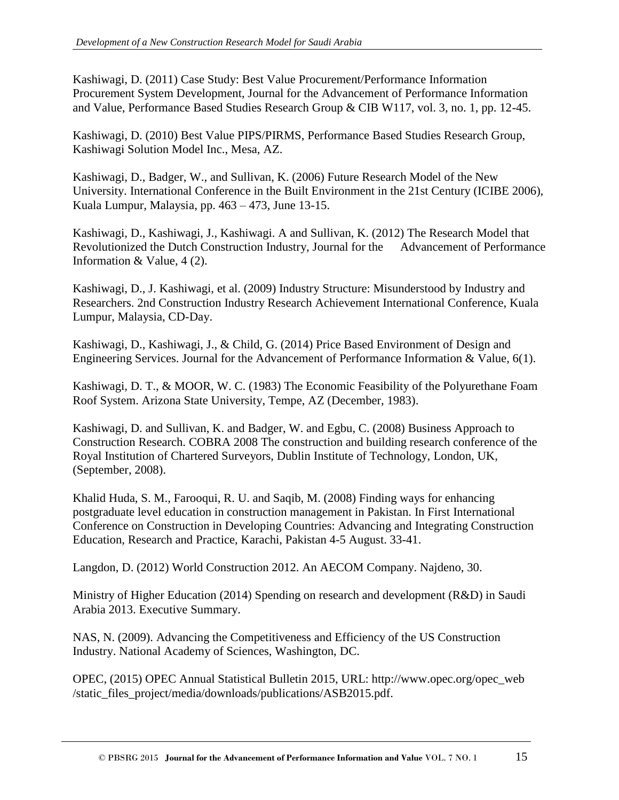Kashiwagi, D. (2011) Case Study: Best Value Procurement/Performance Information Procurement System Development, Journal for the Advancement of Performance Information and Value, Performance Based Studies Research Group & CIB W117, vol. 3, no. 1, pp. 12-45.

Kashiwagi, D. (2010) Best Value PIPS/PIRMS, Performance Based Studies Research Group, Kashiwagi Solution Model Inc., Mesa, AZ.

Kashiwagi, D., Badger, W., and Sullivan, K. (2006) Future Research Model of the New University. International Conference in the Built Environment in the 21st Century (ICIBE 2006), Kuala Lumpur, Malaysia, pp. 463 – 473, June 13-15.

Kashiwagi, D., Kashiwagi, J., Kashiwagi. A and Sullivan, K. (2012) The Research Model that Revolutionized the Dutch Construction Industry, Journal for the Advancement of Performance Information & Value, 4 (2).

Kashiwagi, D., J. Kashiwagi, et al. (2009) Industry Structure: Misunderstood by Industry and Researchers. 2nd Construction Industry Research Achievement International Conference, Kuala Lumpur, Malaysia, CD-Day.

Kashiwagi, D., Kashiwagi, J., & Child, G. (2014) Price Based Environment of Design and Engineering Services. Journal for the Advancement of Performance Information & Value, 6(1).

Kashiwagi, D. T., & MOOR, W. C. (1983) The Economic Feasibility of the Polyurethane Foam Roof System. Arizona State University, Tempe, AZ (December, 1983).

Kashiwagi, D. and Sullivan, K. and Badger, W. and Egbu, C. (2008) Business Approach to Construction Research. COBRA 2008 The construction and building research conference of the Royal Institution of Chartered Surveyors, Dublin Institute of Technology, London, UK, (September, 2008).

Khalid Huda, S. M., Farooqui, R. U. and Saqib, M. (2008) Finding ways for enhancing postgraduate level education in construction management in Pakistan. In First International Conference on Construction in Developing Countries: Advancing and Integrating Construction Education, Research and Practice, Karachi, Pakistan 4-5 August. 33-41.

Langdon, D. (2012) World Construction 2012. An AECOM Company. Najdeno, 30.

Ministry of Higher Education (2014) Spending on research and development (R&D) in Saudi Arabia 2013. Executive Summary.

NAS, N. (2009). Advancing the Competitiveness and Efficiency of the US Construction Industry. National Academy of Sciences, Washington, DC.

OPEC, (2015) OPEC Annual Statistical Bulletin 2015, URL: http://www.opec.org/opec\_web /static\_files\_project/media/downloads/publications/ASB2015.pdf.